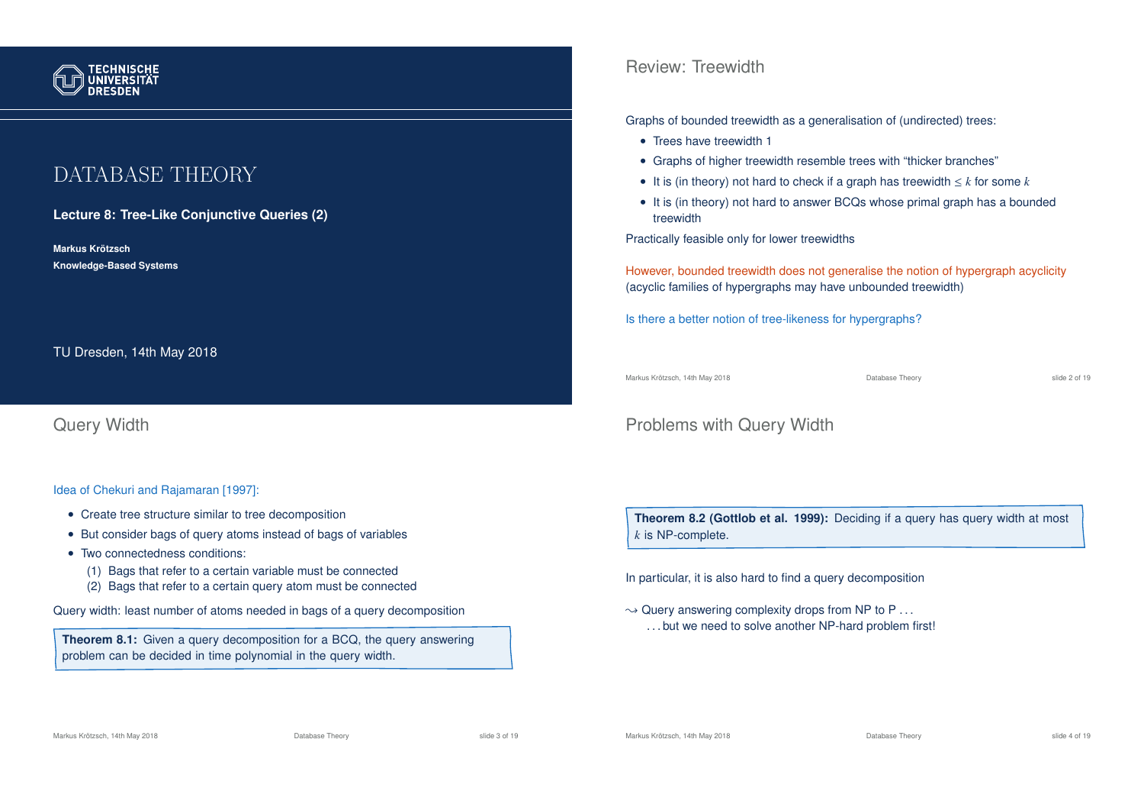

# DATABASE THEORY

**Lecture 8: Tree-Like Conjunctive Queries (2)**

**Markus Krotzsch ¨ Knowledge-Based Systems**

TU Dresden, 14th May 2018

Query Width

Idea of Chekuri and Rajamaran [1997]:

- Create tree structure similar to tree decomposition
- But consider bags of query atoms instead of bags of variables
- Two connectedness conditions:
	- (1) Bags that refer to a certain variable must be connected
	- (2) Bags that refer to a certain query atom must be connected

Query width: least number of atoms needed in bags of a query decomposition

**Theorem 8.1:** Given a query decomposition for a BCQ, the query answering problem can be decided in time polynomial in the query width.

Review: Treewidth

Graphs of bounded treewidth as a generalisation of (undirected) trees:

- Trees have treewidth 1
- Graphs of higher treewidth resemble trees with "thicker branches"
- It is (in theory) not hard to check if a graph has treewidth  $\leq k$  for some  $k$
- It is (in theory) not hard to answer BCQs whose primal graph has a bounded treewidth

Practically feasible only for lower treewidths

However, bounded treewidth does not generalise the notion of hypergraph acyclicity (acyclic families of hypergraphs may have unbounded treewidth)

Is there a better notion of tree-likeness for hypergraphs?

Markus Krötzsch, 14th May 2018 Database Theory slide 2 of 19

### Problems with Query Width

**Theorem 8.2 (Gottlob et al. 1999):** Deciding if a query has query width at most *k* is NP-complete.

In particular, it is also hard to find a query decomposition

 $\rightarrow$  Query answering complexity drops from NP to P ... . . . but we need to solve another NP-hard problem first!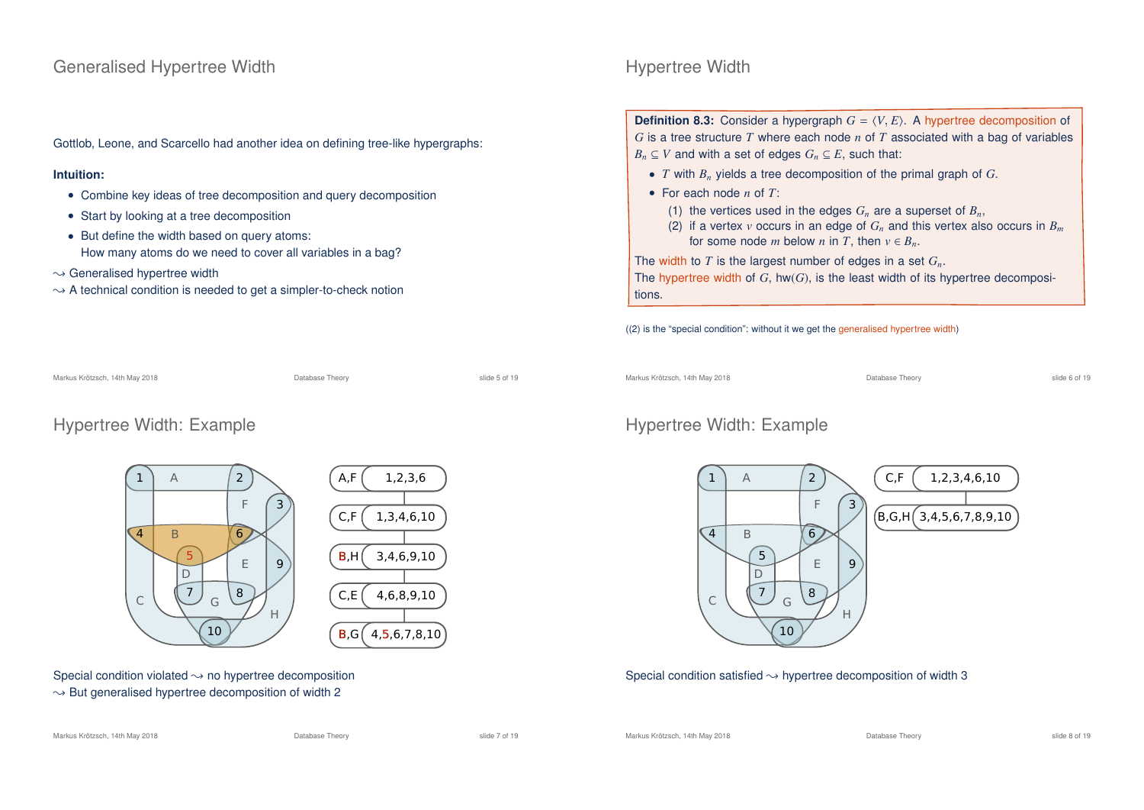#### Generalised Hypertree Width

Gottlob, Leone, and Scarcello had another idea on defining tree-like hypergraphs:

#### **Intuition:**

- Combine key ideas of tree decomposition and query decomposition
- Start by looking at a tree decomposition
- But define the width based on query atoms: How many atoms do we need to cover all variables in a bag?
- $\rightarrow$  Generalised hypertree width
- $\rightarrow$  A technical condition is needed to get a simpler-to-check notion

# Hypertree Width

**Definition 8.3:** Consider a hypergraph  $G = \langle V, E \rangle$ . A hypertree decomposition of *G* is a tree structure *T* where each node *n* of *T* associated with a bag of variables *B<sub>n</sub>* ⊆ *V* and with a set of edges  $G_n$  ⊆ *E*, such that:

- *T* with *B<sup>n</sup>* yields a tree decomposition of the primal graph of *G*.
- For each node *n* of *T*:
	- (1) the vertices used in the edges  $G_n$  are a superset of  $B_n$ ,
	- (2) if a vertex *v* occurs in an edge of  $G_n$  and this vertex also occurs in  $B_m$ for some node *m* below *n* in *T*, then  $v \in B_n$ .

The width to *T* is the largest number of edges in a set *Gn*.

The hypertree width of  $G$ , hw $(G)$ , is the least width of its hypertree decompositions.

((2) is the "special condition": without it we get the generalised hypertree width)

Markus Krötzsch, 14th May 2018 Database Theory slide 6 of 19

#### Hypertree Width: Example



#### Special condition satisfied  $\rightarrow$  hypertree decomposition of width 3

Markus Krötzsch, 14th May 2018 Database Theory slide 7 of 19

Markus Krötzsch, 14th May 2018 Database Theory slide 8 of 19

Markus Krötzsch, 14th May 2018 Database Theory slide 5 of 19

#### Hypertree Width: Example

Special condition violated  $\rightarrow$  no hypertree decomposition  $\rightarrow$  But generalised hypertree decomposition of width 2

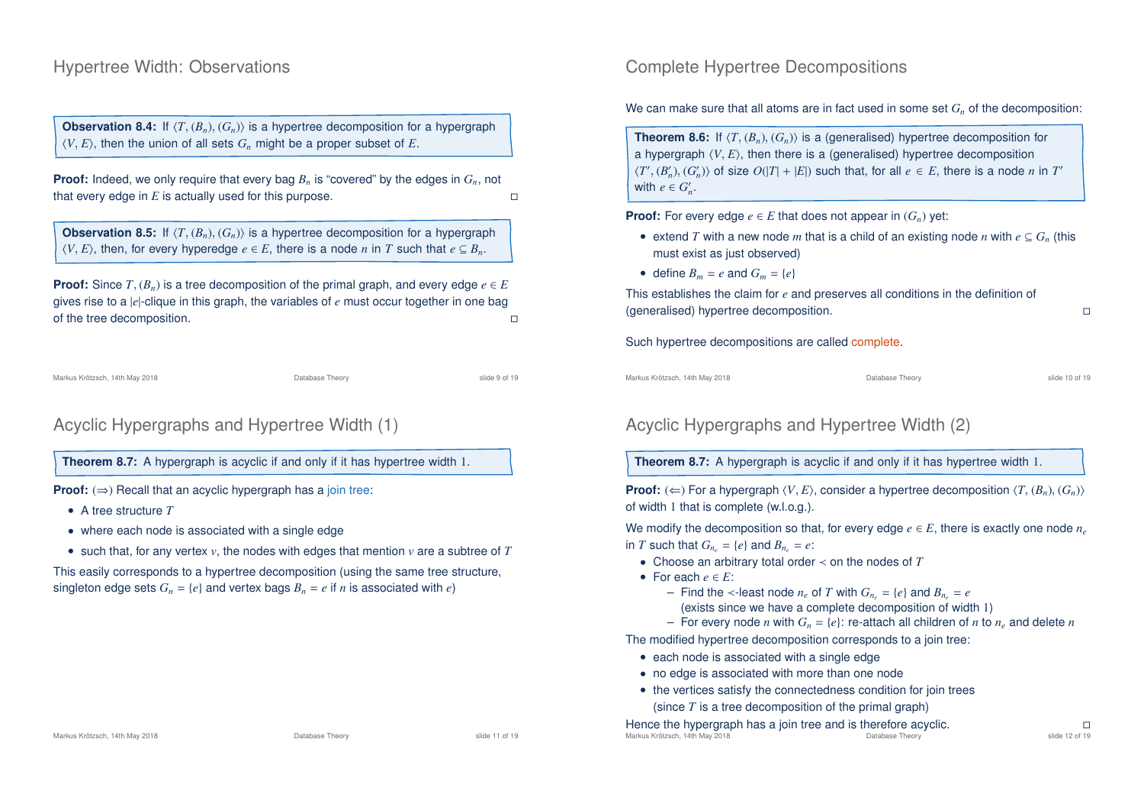#### Hypertree Width: Observations

**Observation 8.4:** If  $\langle T, (B_n), (G_n) \rangle$  is a hypertree decomposition for a hypergraph  $\langle V, E \rangle$ , then the union of all sets  $G_n$  might be a proper subset of *E*.

**Proof:** Indeed, we only require that every bag  $B_n$  is "covered" by the edges in  $G_n$ , not that every edge in *E* is actually used for this purpose.

**Observation 8.5:** If  $\langle T,(B_n),(G_n)\rangle$  is a hypertree decomposition for a hypergraph  $\langle V, E \rangle$ , then, for every hyperedge  $e \in E$ , there is a node *n* in *T* such that  $e \subseteq B_n$ .

**Proof:** Since  $T$ ,  $(B_n)$  is a tree decomposition of the primal graph, and every edge  $e \in E$ gives rise to a  $|e|$ -clique in this graph, the variables of  $e$  must occur together in one bag of the tree decomposition of the tree decomposition.

Markus Krötzsch, 14th May 2018 Database Theory slide 9 of 19

# Acyclic Hypergraphs and Hypertree Width (1)

**Theorem 8.7:** A hypergraph is acyclic if and only if it has hypertree width 1.

**Proof:**  $(\Rightarrow)$  Recall that an acyclic hypergraph has a join tree:

- A tree structure *T*
- where each node is associated with a single edge
- such that, for any vertex  $v$ , the nodes with edges that mention  $v$  are a subtree of  $T$

This easily corresponds to a hypertree decomposition (using the same tree structure, singleton edge sets  $G_n = \{e\}$  and vertex bags  $B_n = e$  if *n* is associated with *e*)

### Complete Hypertree Decompositions

We can make sure that all atoms are in fact used in some set  $G<sub>n</sub>$  of the decomposition:

**Theorem 8.6:** If  $\langle T,(B_n),(G_n)\rangle$  is a (generalised) hypertree decomposition for a hypergraph  $\langle V, E \rangle$ , then there is a (generalised) hypertree decomposition  $\langle T', (B_n'), (G_n') \rangle$  of size  $O(|T| + |E|)$  such that, for all  $e \in E$ , there is a node *n* in  $T'$ with  $e \in G'_n$ .

**Proof:** For every edge  $e \in E$  that does not appear in  $(G_n)$  yet:

- extend *T* with a new node *m* that is a child of an existing node *n* with  $e \subseteq G_n$  (this must exist as just observed)
- define  $B_m = e$  and  $G_m = \{e\}$

This establishes the claim for *e* and preserves all conditions in the definition of (generalised) hypertree decomposition.

Such hypertree decompositions are called complete.

Markus Krötzsch, 14th May 2018 Database Theory slide 10 of 19

### Acyclic Hypergraphs and Hypertree Width (2)

**Theorem 8.7:** A hypergraph is acyclic if and only if it has hypertree width 1.

**Proof:** ( $\Leftarrow$ ) For a hypergraph  $\langle V, E \rangle$ , consider a hypertree decomposition  $\langle T, (B_n), (G_n) \rangle$ of width 1 that is complete (w.l.o.g.).

We modify the decomposition so that, for every edge  $e \in E$ , there is exactly one node  $n_e$ in *T* such that  $G_n = \{e\}$  and  $B_n = e$ :

- Choose an arbitrary total order ≺ on the nodes of *T*
- For each  $e \in E$ :
	- Find the ≺-least node  $n_e$  of *T* with  $G_n = \{e\}$  and  $B_n = e$
	- (exists since we have a complete decomposition of width 1)
- For every node *n* with  $G_n = \{e\}$ : re-attach all children of *n* to  $n_e$  and delete *n*

The modified hypertree decomposition corresponds to a join tree:

- each node is associated with a single edge
- no edge is associated with more than one node
- the vertices satisfy the connectedness condition for join trees (since *T* is a tree decomposition of the primal graph)

Hence the hypergraph has a join tree and is therefore acyclic.<br>Markus Krötzsch. 14th May 2018 Markus Krötzsch, 14th May 2018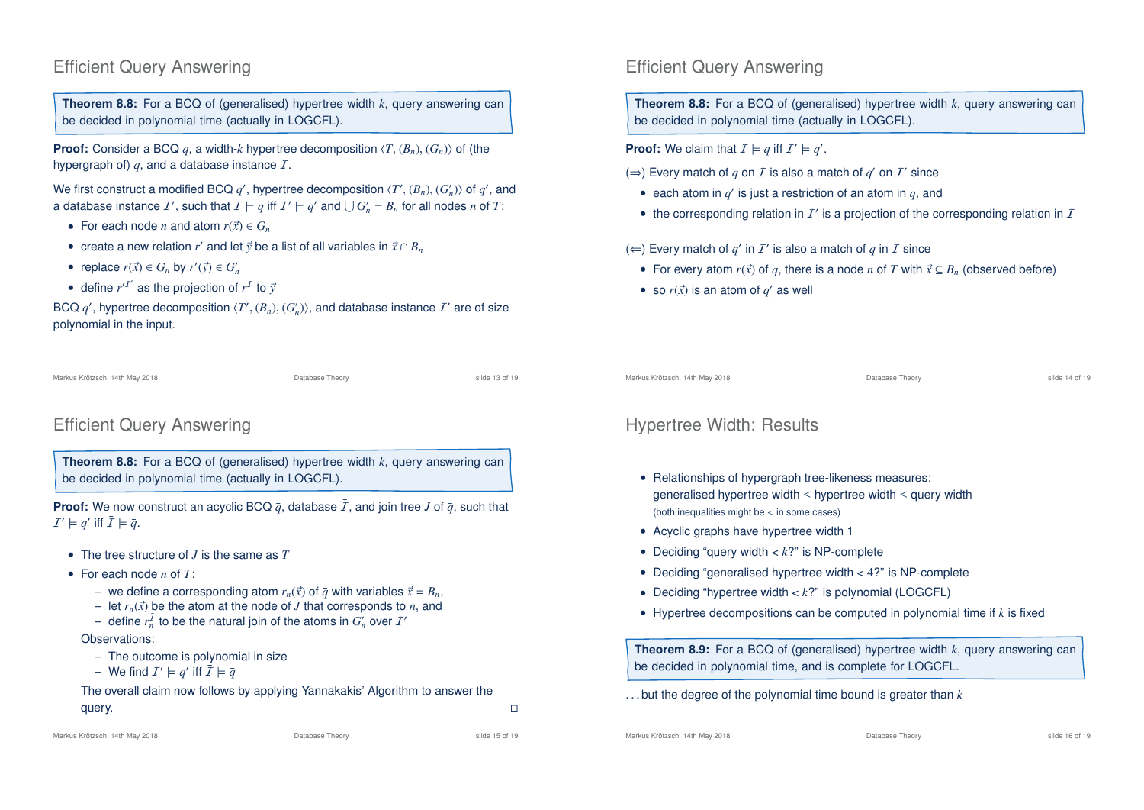### Efficient Query Answering

**Theorem 8.8:** For a BCQ of (generalised) hypertree width *k*, query answering can be decided in polynomial time (actually in LOGCFL).

**Proof:** Consider a BCQ *q*, a width-*k* hypertree decomposition  $\langle T, (B_n), (G_n) \rangle$  of (the hypergraph of)  $q$ , and a database instance  $I$ .

We first construct a modified BCQ  $q'$ , hypertree decomposition  $\langle T', (B_n), (G'_n) \rangle$  of  $q'$ , and a database instance  $I'$ , such that  $I \models q$  iff  $I' \models q'$  and  $\bigcup G'_n = B_n$  for all nodes *n* of *T*:

- For each node *n* and atom  $r(\vec{x}) \in G_n$
- create a new relation *r'* and let  $\vec{y}$  be a list of all variables in  $\vec{x} \cap B_n$
- replace  $r(\vec{x}) \in G_n$  by  $r'(\vec{y}) \in G'_n$
- define  $r^T$  as the projection of  $r^T$  to  $\vec{y}$

BCQ  $q'$ , hypertree decomposition  $\langle T', (B_n), (G'_n) \rangle$ , and database instance  $I'$  are of size polynomial in the input.

Markus Krötzsch, 14th May 2018 Database Theory slide 13 of 19

### Efficient Query Answering

**Theorem 8.8:** For a BCQ of (generalised) hypertree width *k*, query answering can be decided in polynomial time (actually in LOGCFL).

**Proof:** We now construct an acyclic BCQ  $\bar{q}$ , database  $\bar{I}$ , and join tree *J* of  $\bar{q}$ , such that  $\mathcal{I}' \models q'$  iff  $\bar{\mathcal{I}} \models \bar{q}$ .

- The tree structure of *J* is the same as *T*
- For each node *n* of *T*:
	- we define a corresponding atom  $r_n(\vec{x})$  of  $\vec{q}$  with variables  $\vec{x} = B_n$ ,
	- let  $r_n(\vec{x})$  be the atom at the node of *J* that corresponds to *n*, and
	- $-$  define  $r_n^{\bar{I}}$  to be the natural join of the atoms in  $G'_n$  over  $I'$

#### Observations:

- The outcome is polynomial in size
- $-$  We find  $I' \models q'$  iff  $\bar{I} \models \bar{q}$

The overall claim now follows by applying Yannakakis' Algorithm to answer the query.

Markus Krötzsch, 14th May 2018 Database Theory slide 15 of 19

#### Efficient Query Answering

**Theorem 8.8:** For a BCQ of (generalised) hypertree width *k*, query answering can be decided in polynomial time (actually in LOGCFL).

**Proof:** We claim that  $I \models q$  iff  $I' \models q'$ .

- (⇒) Every match of  $q$  on  $I$  is also a match of  $q'$  on  $I'$  since
	- $\bullet$  each atom in  $q'$  is just a restriction of an atom in  $q$ , and
- the corresponding relation in  $I'$  is a projection of the corresponding relation in  $I$

 $(\Leftarrow)$  Every match of  $q'$  in  $I'$  is also a match of  $q$  in  $I$  since

- For every atom  $r(\vec{x})$  of q, there is a node *n* of T with  $\vec{x} \subseteq B_n$  (observed before)
- so  $r(\vec{x})$  is an atom of  $q'$  as well

Markus Krötzsch, 14th May 2018 Database Theory slide 14 of 19

### Hypertree Width: Results

- Relationships of hypergraph tree-likeness measures: generalised hypertree width  $\leq$  hypertree width  $\leq$  query width (both inequalities might be < in some cases)
- Acyclic graphs have hypertree width 1
- Deciding "query width < *k*?" is NP-complete
- Deciding "generalised hypertree width < 4?" is NP-complete
- Deciding "hypertree width < *k*?" is polynomial (LOGCFL)
- Hypertree decompositions can be computed in polynomial time if *k* is fixed

**Theorem 8.9:** For a BCQ of (generalised) hypertree width *k*, query answering can be decided in polynomial time, and is complete for LOGCFL.

. . . but the degree of the polynomial time bound is greater than *k*

Markus Krötzsch, 14th May 2018 Database Theory slide 16 of 19